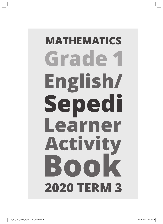# **MATHEMATICS 2020 TERM 3 Grade 1 Learner Activity Book English/ Sepedi**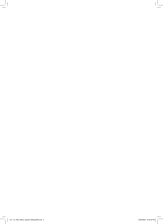$\equiv$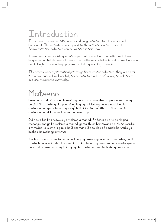### Introduction

This resource pack has fifty numbered daily activities for classwork and homework. The activities correspond to the activities in the lesson plans. Answers to the activities can be written in this book.

These resources are bilingual. We hope that presenting the activities in two languages will help learners to learn the maths words in both their home language and in English. This will equip them for lifelong learning of maths.

If learners work systematically through these maths activities, they will cover the whole curriculum. Hopefully these activities will be a fun way to help them acquire this maths knowledge.

### Matseno

Paka ye ya didirišwa e na le mešongwana ye masomehlano yeo e nomorilwego ya tšatši ka tšatši ya ka phapošing le ya gae. Mešongwana e nyalelana le mešongwana yeo e lego ka gare ga boitokišetšo bja dithuto. Dikarabo tša mešongwana di ka ngwalwa ka mo pukung ye.

Didirišwa tše ke phetolelo ya maleme a mabedi. Re tshepa go re go hlagiša mešongwana ye ka maleme a mabedi go tla thuša barutwana go ithuta mantšu a mmetse ka leleme la gae le ka Seisemane. Se se tla ba tlabakela ka thuto ya bophelo ka moka ya mmetse.

 Ge barutwana ba ka šoma ka peakanyo ya mešongwana ye ya mmetse, ba tla ithuta, ba akaretša kharikhulamo ka moka. Tshepo ya rena ke go re mešongwana ye e tla ba tsela ya go kgahliša ya go ba thuša go hwetša tsebo ya mmetse.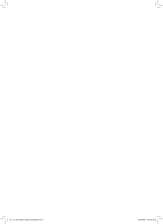$\equiv$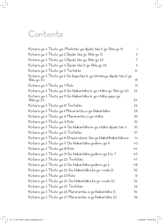### Contents

 $\frac{1}{\sqrt{2}}$ 

| Kotara ya 3 Thuto ya I Poeletšo ya dipalo tša 0 go fihla go 10                   | $\overline{1}$ |
|----------------------------------------------------------------------------------|----------------|
| Kotara ya 3 Thuto ya 2 Dipalo tša go fihla go 15                                 | 3              |
| Kotara ya 3 Thuto ya 3 Dipalo tša go fihla go 20                                 | 7              |
| Kotara ya 3 Thuto ya 4 Dipalo tša 0 go fihla go 20                               | $\parallel$    |
| Kotara ya 3 Thuto ya 5 Teefatšo                                                  | 4              |
| Kotara ya 3 Thuto ya 6 Go bapetša le go latelanya dipalo tša 0 go<br>fihla go 20 | q              |
| Kotara ya 3 Thuto ya 7 Kelo                                                      | 21             |
| Kotara ya 3 Thuto ya 8 Go hlakantšha le go ntšha go fihla go 20                  | 22             |
| Kotara ya 3 Thuto ya 9 Go hlakantšha le go ntšha gape go<br>tihla go 20          | 24             |
| Kotara ya 3 Thuto ya 10 Teefatšo                                                 | 26             |
| Kotara ya 3 Thuto ya 11 Mararantšu a go hlakantšha                               | 28             |
| Kotara ya 3 Thuto ya 12 Mararantšu a go ntšha                                    | 30             |
| Kotara ya 3 Thuto ya 13 Kelo                                                     | 32             |
| Kotara ya 3 Thuto ya 14 Go hlakantšha le go ntšha dipalo tše 3                   | 33             |
| Kotara ya 3 Thuto ya 15 Teefatšo                                                 | 37             |
| Kotara ya 3 Thuto ya 16 Diopareišene tša go hlakatlhakantšhwa                    | $ + $          |
| Kotara ya 3 Thuto ya 17 Go hlakantšha godimo ga 9                                | 43             |
| Kotara ya 3 Thuto ya 18 Kelo                                                     | 44             |
| Kotara ya 3 Thuto ya 19 Go hlakantšha godimo ga 8 le 7                           | 45             |
| Kotara ya 3 Thuto ya 20 Teefatšo                                                 | 47             |
| Kotara ya 3 Thuto ya 21 Go hlakantšha godimo ga 6                                | 48             |
| Kotara ya 3 Thuto ya 22 Go hlakantšha ka go rwala (I)                            | 50             |
| Kotara ya 3 Thuto ya 23 Kelo                                                     | 5 <sub>l</sub> |
| Kotara ya 3 Thuto ya 24 Go hlakantšha ka go rwala (2)                            | 52             |
| Kotara ya 3 Thuto ya 25 Teefatšo                                                 | 53             |
| Kotara ya 3 Thuto ya 26 Mararantšu a go hlakantšha (I)                           | 54             |
| Kotara ya 3 Thuto ya 27 Mararantšu a go hlakantšha (2)                           | 56             |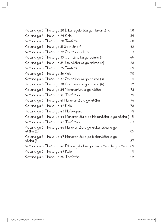| Kotara ya 3 Thuto ya 28 Dikanegelo tša go hlakantšha                  | 58             |
|-----------------------------------------------------------------------|----------------|
| Kotara ya 3 Thuto ya 29 Kelo                                          | 59             |
| Kotara ya 3 Thuto ya 30 Teefatšo                                      | 60             |
| Kotara ya 3 Thuto ya 31 Go ntšha 9                                    | 62             |
| Kotara ya 3 Thuto ya 32 Go ntšha 7 le 8                               | 63             |
| Kotara ya 3 Thuto ya 33 Go ntšha ka go adima (I)                      | 64             |
| Kotara ya 3 Thuto ya 34 Go ntšha ka go adima (2)                      | 68             |
| Kotara ya 3 Thuto ya 35 Teefatšo                                      | 69             |
| Kotara ya 3 Thuto ya 36 Kelo                                          | 70             |
| Kotara ya 3 Thuto ya 37 Go ntšha ka go adima (3)                      | 7 <sup>1</sup> |
| Kotara ya 3 Thuto ya 38 Go ntšha ka go adima (4)                      | 72             |
| Kotara ya 3 Thuto ya 39 Mararantšu a go ntšha                         | 73             |
| Kotara ya 3 Thuto ya 40 Teefatšo                                      | 75             |
| Kotara ya 3 Thuto ya 41 Mararantšu a go ntšha                         | 76             |
| Kotara ya 3 Thuto ya 42 Kelo                                          | 78             |
| Kotara ya 3 Thuto ya 43 Mafokopalo                                    | 79             |
| Kotara ya 3 Thuto ya 44 Mararantšu a go hlakantšha le go ntšha (I) 81 |                |
| Kotara ya 3 Thuto ya 45 Teefatšo                                      | 83             |
| Kotara ya 3 Thuto ya 46 Mararantšu a go hlakantšha le go<br>ntšha (2) | 85             |
| Kotara ya 3 Thuto ya 47 Mararantšu a go hlakantšha le go<br>ntšha (3) | 87             |
| Kotara ya 3 Thuto ya 48 Dikanegelo tša go hlakantšha le go ntšha      | 89             |
| Kotara ya 3 Thuto ya 49 Kelo                                          | qı             |
| Kotara ya 3 Thuto ya 50 Teefatšo                                      | 92             |

 $\equiv$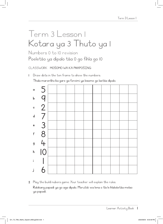### Term 3 Lesson I Kotara ya 3 Thuto ya 1

Numbers 0 to 10 revision Poeletšo ya dipalo tša 0 go fihla go 10

CLASSWORK MOŠOMO WA KA PHAPOŠING

1 Draw dots in the ten frame to show the numbers.

Thala marontho ka gare ga foreimi ya lesome go laetša dipalo.



2 Play the build nubers game. Your teacher will explain the rules. Ralokang papadi ya go aga dipalo. Morutiši wa lena o tla le hlalošetša melao ya papadi.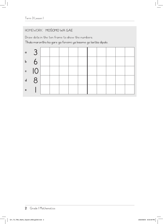#### HOMEWORK MOŠOMO WA GAE

Draw dots in the ten frame to show the numbers.

Thala marontho ka gare ga foreimi ya lesome go laetša dipalo.

| $\alpha$     | $\overline{3}$           |  |  |  |  |  |
|--------------|--------------------------|--|--|--|--|--|
| $\mathsf b$  | 6                        |  |  |  |  |  |
|              | $\frac{1}{2}$            |  |  |  |  |  |
| $\mathsf{d}$ | $\overline{\mathcal{S}}$ |  |  |  |  |  |
| $\epsilon$   |                          |  |  |  |  |  |

#### 2 Grade 1 Mathematics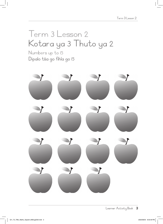### Term 3 Lesson 2 Kotara ya 3 Thuto ya 2

Numbers up to 15 Dipalo tša go fihla go 15

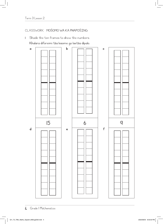#### CLASSWORK MOŠOMO WA KA PHAPOŠING

1 Shade the ten frames to show the numbers. Khalara diforeimi tša lesome go laetša dipalo.



4 Grade 1 Mathematics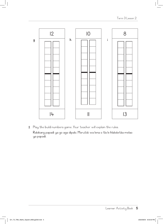

2 Play the build numbers game. Your teacher will explain the rules.

Ralokang papadi ya go aga dipalo. Morutiši wa lena o tla le hlalošetša melao ya papadi.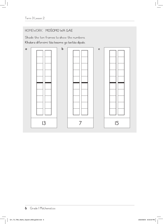#### HOMEWORK MOŠOMO WA GAE

Shade the ten frames to show the numbers. Khalara diforeimi tša lesome go laetša dipalo.



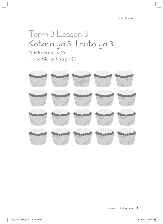### Term 3 Lesson 3 Kotara ya 3 Thuto ya 3

Numbers up to 20 Dipalo tša go fihla go 20

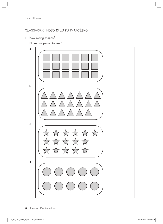#### CLASSWORK MOŠOMO WA KA PHAPOŠING

1 How many shapes?

Na ke dibopego tše kae?



8 Grade 1 Mathematics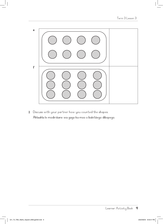

2 Discuss with your partner how you counted the shapes. Ahlaahla le modirišane wa gago ka moo o baletšego dibopego.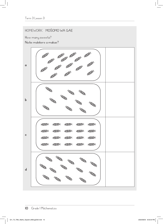#### HOMEWORK MOŠOMO WA GAE

How many sweets?

Na ke malekere a makae?



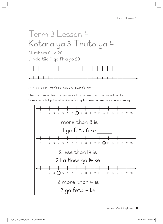### Term 3 Lesson 4 Kotara ya 3 Thuto ya 4

Numbers 0 to 20 Dipalo tša 0 go fihla go 20



#### CLASSWORK MOŠOMO WA KA PHAPOŠING

Use the number line to show more than or less than the circled number.

Šomiša mothalopalo go laetša go feta goba tlase ga palo yeo e rareditšwego.

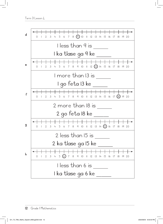

#### 12 Grade 1 Mathematics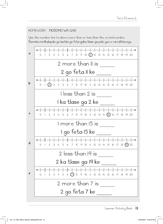#### HOMEWORK MOŠOMO WA GAE

Use the number line to show more than or less than the circled number. Šomiša mothalopalo go laetša go feta goba tlase ga palo yeo e rareditšwego.

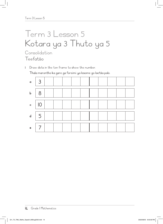### Term 3 Lesson 5 Kotara ya 3 Thuto ya 5

Consolidation Teefatšo

1 Draw dots in the ten frame to show the number.

Thala marontho ka gare ga foreimi ya lesome go laetša palo.



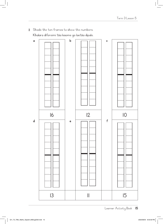2 Shade the ten frames to show the numbers.

Khalara diforeimi tša lesome go laetša dipalo.



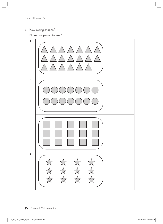Term 3 Lesson 5

3 How many shapes?

Na ke dibopego tše kae?

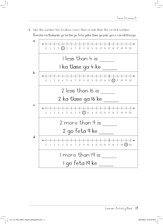

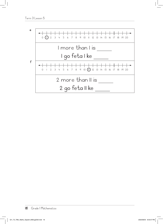

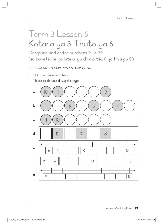### Term 3 Lesson 6 Kotara ya 3 Thuto ya 6

Compare and order numbers 0 to 20 Go bapetša le go latelanya dipalo tša 0 go fihla go 20

CLASSWORK MOŠOMO WA KA PHAPOŠING

1 Fill in the missing numbers:

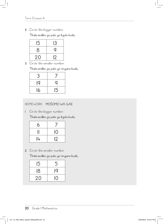2 Circle the bigger number.

Thala sediko go palo ye kgolo kudu.

| 15 | IЗ            |
|----|---------------|
| 8  | q             |
| 20 | $\mathcal{V}$ |

3 Circle the smaller number.

Thala sediko go palo ye nnyane kudu.

| $\bigcup$ |    |
|-----------|----|
| 19        | q  |
| 16        | 15 |

#### HOMEWORK MOŠOMO WA GAE

1 Circle the bigger number.

Thala sediko go palo ye kgolo kudu.

| 6  |               |
|----|---------------|
|    | 10            |
| 14 | $\mathcal{V}$ |

2 Circle the smaller number.

Thala sediko go palo ye nnyane kudu.

| 15 | 5   |
|----|-----|
| 18 | 19  |
| 20 | 1() |

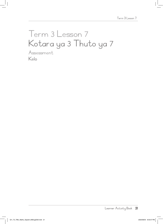### Term 3 Lesson 7 Kotara ya 3 Thuto ya 7

Assessment Kelo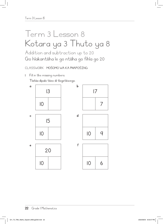### Term 3 Lesson 8 Kotara ya 3 Thuto ya 8 Addition and subtraction up to 20 Go hlakantšha le go ntšha go fihla go 20

CLASSWORK MOŠOMO WA KA PHAPOŠING

1 Fill in the missing numbers.



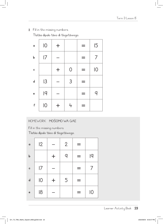2 Fill in the missing numbers.

Tlatša dipalo tšeo di tlogetšwego.

| $\mathsf{a}$ | 10              | $\pm$ |                      |   | 15             |
|--------------|-----------------|-------|----------------------|---|----------------|
| $\mathsf b$  | 7               |       |                      | ═ | 7              |
| $\mathbf C$  |                 | $\pm$ | $\bigcirc$           |   | 0              |
| $\mathsf{d}$ | 3               |       | 3                    |   |                |
| $\epsilon$   | 19              |       |                      |   | $\overline{q}$ |
| $\mathbf f$  | $\overline{10}$ | $\pm$ | $\frac{1}{\sqrt{2}}$ |   |                |

#### HOMEWORK MOŠOMO WA GAE

Fill in the missing numbers.

| $\mathsf{a}$ | 12 |       | $\overline{2}$ |    |
|--------------|----|-------|----------------|----|
| $\mathsf b$  |    | $\pm$ | q              | 19 |
| $\mathbf{C}$ | 7  |       |                | 7  |
| $\mathsf{d}$ | 10 | $\pm$ | 5              |    |
| $\epsilon$   | 18 |       |                | 0  |

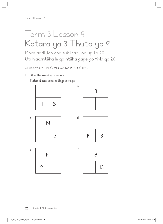## Term 3 Lesson 9 Kotara ya 3 Thuto ya 9

More addition and subtraction up to 20 Go hlakantšha le go ntšha gape go fihla go 20

CLASSWORK MOŠOMO WA KA PHAPOŠING

1 Fill in the missing numbers.



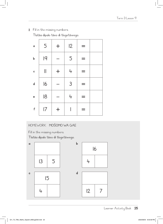2 Fill in the missing numbers.

Tlatša dipalo tšeo di tlogetšwego.

| $\mathsf{a}$ | 5                                                                     | $\pm$ | 2              |     |  |
|--------------|-----------------------------------------------------------------------|-------|----------------|-----|--|
| $\mathbf b$  | 19                                                                    |       | 5              |     |  |
| $\mathbf C$  | $\begin{array}{c} \hline \rule{0pt}{2ex} \rule{0pt}{2ex} \end{array}$ | $\pm$ | $\ddot{+}$     |     |  |
| $\mathsf{d}$ | 16                                                                    |       | $\mathfrak{Z}$ | ═   |  |
| $\epsilon$   | 18                                                                    |       | $\overline{4}$ | $=$ |  |
| $\mathbf f$  | 7                                                                     | $\pm$ |                |     |  |

#### HOMEWORK MOŠOMO WA GAE

Fill in the missing numbers.



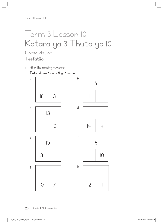### Term 3 Lesson 10 Kotara ya 3 Thuto ya 10

Consolidation Teefatšo

1 Fill in the missing numbers.



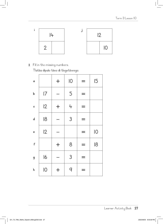

2 Fill in the missing numbers.

|                 | $\pm$ | $ 0\rangle$ | 15              |
|-----------------|-------|-------------|-----------------|
| 7               |       | 5           |                 |
| 2               | $\pm$ | $\ddot{+}$  |                 |
| 18              |       | 3           |                 |
| 2               |       |             | $\overline{10}$ |
|                 | $\pm$ | 8           | 18              |
| 16              |       | 3           |                 |
| $\overline{10}$ | $\pm$ | $\bm{q}$    |                 |
|                 |       |             |                 |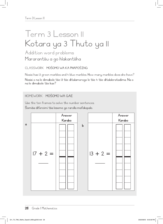### Term 3 Lesson II Kotara ya 3 Thuto ya 11

Addition word problems Mararantšu a go hlakantšha

CLASSWORK MOŠOMO WA KA PHAPOŠING

Nosisi has 13 green marbles and 4 blue marbles. How many marbles does she have? Nosisi o na le dimabole tše 13 tše ditalamorogo le tše 4 tše ditalaleratadima. Na o na le dimabole tše kae?

#### HOMEWORK MOŠOMO WA GAE

Use the ten frames to solve the number sentences. Šomiša diforeimi tša lesome go rarolla mafokopalo.



28 Grade | Mathematics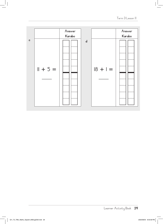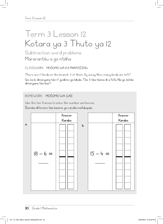### Term 3 Lesson 12 Kotara ya 3 Thuto ya 12

Subtraction word problems Mararantšu a go ntšha

CLASSWORK MOŠOMO WA KA PHAPOŠING

There are 17 birds on the branch. 5 of them fly away. How many birds are left? Go na le dinonyana tše 17 godimo ga lekala. Tše 5 tša tšona di a fofa. Na go šetše dinonyana tše kae?

#### HOMEWORK MOŠOMO WA GAE

Use the ten frames to solve the number sentences. Šomiša diforeimi tša lesome go rarolla mafokopalo.



30 Grade 1 Mathematics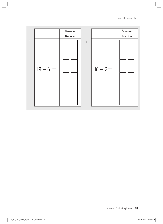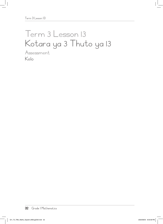## Term 3 Lesson 13 Kotara ya 3 Thuto ya 13

Assessment Kelo

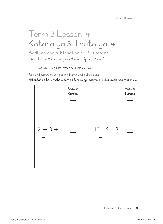## Term 3 Lesson 14 Kotara ya 3 Thuto ya 14

Addition and subtraction of 3 numbers Go hlakantšha le go ntšha dipalo tše 3

CLASSWORK MOŠOMO WA KA PHAPOŠING

Add and subtract using a ten frame and bottle tops.

Hlakantšha o be o ntšhe o šomiša foreimi ya lesome le dikhurumelo tša mapotlelo.

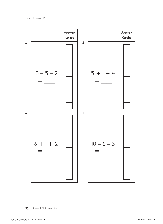$\Box$ 



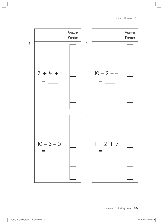

 $\Box$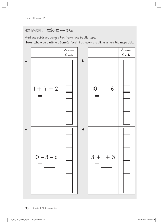#### HOMEWORK MOŠOMO WA GAE

Add and subtract using a ten frame and bottle tops.

Hlakantšha o be o ntšhe o šomiša foreimi ya lesome le dikhurumelo tša mapotlelo.



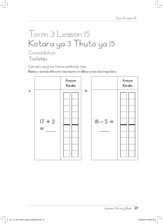## Term 3 Lesson 15 Kotara ya 3 Thuto ya 15

#### Consolidation

Teefatšo

Calculate using ten frames and bottle tops.

Balela o šomiša diforeimi tša lesome le dikhurumelo tša mapotlelo.

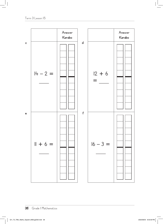$\Box$ 



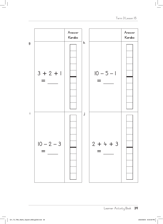

 $\Box$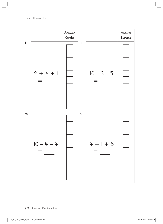$\perp$ 



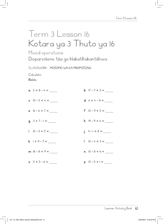### Term 3 Lesson 16 Kotara ya 3 Thuto ya 16

Mixed operations Diopareišene tša go hlakatlhakantšhwa

CLASSWORK MOŠOMO WA KA PHAPOŠING

Calculate. Balela.

| $a \quad 2 + 8 - 4 =$ | <b>b</b> $17 - 7 + 3 =$   |
|-----------------------|---------------------------|
|                       | $d \t6 + 4 - 8 =$         |
| e $16-6+7 =$          | $f \t 10 - 9 + 5 =$       |
| $q \quad 3 + 7 - 1 =$ |                           |
| i $10 - 3 + 5 =$      | $1 - 1 + 8 =$             |
| $k + 9 - 7 =$         | $1 \t10 - 4 + 3 =$        |
|                       | $n \quad 10 - 8 + 6 = \_$ |
| $0 5 + 5 - 6 =$       |                           |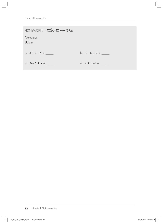Term 3 Lesson 16

| HOMEWORK MOŠOMO WA GAE |                         |
|------------------------|-------------------------|
| Calculate.<br>Balela.  |                         |
| $a + 7 - 5 =$          | <b>b</b> $16 - 6 + 2 =$ |
| c $10 - 6 + 4 =$       | $d$ 2 + 8 - 1 =         |

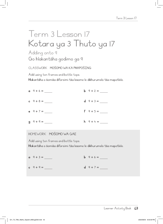## Term 3 Lesson 17 Kotara ya 3 Thuto ya 17

Adding onto 9 Go hlakantšha godimo ga 9

CLASSWORK MOŠOMO WA KA PHAPOŠING

Add using ten frames and bottle tops.

Hlakantšha o šomiša diforeimi tša lesome le dikhurumelo tša mapotlelo.

| $q + 6 =$     | $b \quad 9 + 2 =$ |
|---------------|-------------------|
| $c \t9 + 8 =$ | $d \cdot 9 + 3 =$ |
| $e \t9 + 7 =$ | $f \quad 9 + 5 =$ |
| $9^{9+9} =$   | $h \quad 9 + 4 =$ |

#### HOMEWORK MOŠOMO WA GAE

Add using ten frames and bottle tops.

Hlakantšha o šomiša diforeimi tša lesome le dikhurumelo tša mapotlelo.

**a**  $9 + 3 =$  **b**  $9 + 6 =$ c  $9 + 9 =$  d  $9 + 7 =$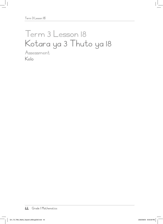## Term 3 Lesson 18 Kotara ya 3 Thuto ya 18

Assessment Kelo

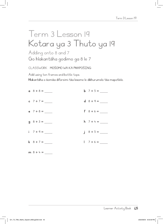# Term 3 Lesson 19 Kotara ya 3 Thuto ya 19

Adding onto 8 and 7 Go hlakantšha godimo ga 8 le 7

CLASSWORK MOŠOMO WA KA PHAPOŠING

Add using ten frames and bottle tops.

Hlakantšha o šomiša diforeimi tša lesome le dikhurumelo tša mapotlelo.

| a $8 + 8 =$          | $b \quad 7 + 5 =$                             |
|----------------------|-----------------------------------------------|
|                      | $d \quad 8 + 9 =$                             |
| $e \quad 7 + 8 = \_$ | $f \quad 8 + 6 =$                             |
| $9 \t8 + 3 =$        | $h \quad 7 + 4 =$                             |
|                      | $\begin{array}{c} 1 & 8 + 5 = \_ \end{array}$ |
| $8 + 7 =$            | $1 \quad 7 + 6 =$                             |
| $m \t8 + 4 =$        |                                               |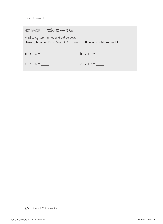Term 3 Lesson 19

#### HOMEWORK MOŠOMO WA GAE

Add using ten frames and bottle tops.

Hlakantšha o šomiša diforeimi tša lesome le dikhurumelo tša mapotlelo.

| $a \t 8 + 8 =$ | $b \quad 7 + 4 =$ |
|----------------|-------------------|
| $c \t8 + 5 =$  | $d$ 7 + 6 =       |

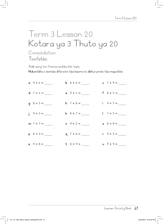## Term 3 Lesson 20 Kotara ya 3 Thuto ya 20

#### Consolidation Teefatšo

Add using ten frames and bottle tops.

Hlakantšha o šomiša diforeimi tša lesome le dikhurumelo tša mapotlelo.

| $q + 6 =$     | $b \quad 8 + 6 =$ | c $7 + 9 =$       |
|---------------|-------------------|-------------------|
|               | $e \quad 9 + 4 =$ | $f \quad 8 + 4 =$ |
| $9 \t8 + 5 =$ | $h \quad 7 + 8 =$ | $1 \t9 + 7 =$     |
| $1 \t9 + 3 =$ | $8 + 7 =$         | $1 \quad 7 + 5 =$ |
|               | $n \quad 9 + 2 =$ | $0 \t8 + 8 =$     |
|               | q 7 + 6 = $\_\_$  | $r \quad 9 + 5 =$ |
| $9 + 8 =$     | $t \quad 8 + 9 =$ | $u \cdot 9 + 9 =$ |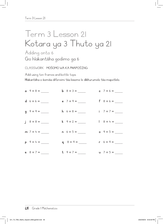### Term 3 Lesson 21 Kotara ya 3 Thuto ya 21 Adding onto 6 Go hlakantšha godimo ga 6

CLASSWORK MOŠOMO WA KA PHAPOŠING

Add using ten frames and bottle tops. Hlakantšha o šomiša diforeimi tša lesome le dikhurumelo tša mapotlelo.

| $q + 8 =$     |                     |                   |
|---------------|---------------------|-------------------|
| $d \t6 + 6 =$ | $-$ 7 + 9 = _______ | $f \quad 8 + 6 =$ |
| $9 - 9 + 9 =$ |                     |                   |
|               | $k \quad 9 + 2 =$   | $1 \quad 8 + 4 =$ |
|               | $n \t 6 + 5 =$      | $0 \t9 + 5 =$     |
|               |                     | $r \t 6 + 9 =$    |
| $8 + 7 =$     | $t 9 + 7 =$         | $u \quad 7 + 5 =$ |

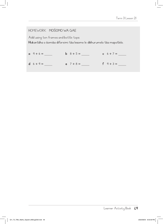#### HOMEWORK MOŠOMO WA GAE

Add using ten frames and bottle tops:

Hlakantšha o šomiša diforeimi tša lesome le dikhurumelo tša mapotlelo.

**a**  $9 + 6 =$  **b**  $8 + 5 =$  **c**  $6 + 7 =$ d  $6 + 9 =$  e  $7 + 8 =$  f  $9 + 3 =$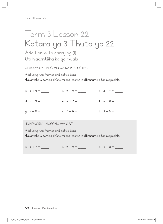### Term 3 Lesson 22 Kotara ya 3 Thuto ya 22 Addition with carrying (1) Go hlakantšha ka go rwala (1)

CLASSWORK MOŠOMO WA KA PHAPOŠING

Add using ten frames and bottle tops. Hlakantšha o šomiša diforeimi tša lesome le dikhurumelo tša mapotlelo.

| $a + 9 =$     | $b + 9 =$         | $c \t3 + 9 =$ |
|---------------|-------------------|---------------|
| $d = 5 + 9 =$ | $e + 7 =$         | $f + 8 =$     |
| $9\ 6 + 9 =$  | $h \quad 5 + 8 =$ | $3 + 8 =$     |

HOMEWORK MOŠOMO WA GAE

Add using ten frames and bottle tops.

Hlakantšha o šomiša diforeimi tša lesome le dikhurumelo tša mapotlelo.

**a**  $4 + 7 =$  **b**  $2 + 9 =$  **c**  $4 + 8 =$ 

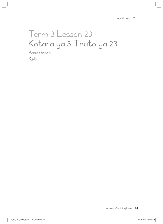## Term 3 Lesson 23 Kotara ya 3 Thuto ya 23

Assessment Kelo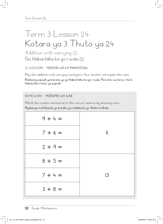## Term 3 Lesson 24 Kotara ya 3 Thuto ya 24

Addition with carrying (2) Go hlakantšha ka go rwala (2)

CLASSWORK MOŠOMO WA KA PHAPOŠING

Play the addition-with-carrying card game. Your teacher will explain the rules. Ralokang papadi ya karata ya go hlakantšha ka go rwala. Morutiši wa lena o tla le hlalošetša melao ya papadi.

HOMEWORK MOŠOMO WA GAE

Match the number sentences to the correct answer by drawing a line. Nyalanya mafokopalo go karabo ya maleba ka go thala mothalo.



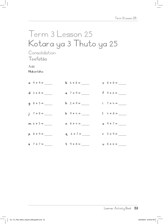### Term 3 Lesson 25 Kotara ya 3 Thuto ya 25

Consolidation

Teefatšo

Add:

Hlakantšha:

| $q + q =$           |                    | $8 + 8 =$         |
|---------------------|--------------------|-------------------|
| $d$ 3 + 8 = _______ | $-$ 7 + 9 = ______ | $f \quad 9 + 6 =$ |
| $9 \t8 + 5 =$       | $h \quad 2 + 9 =$  | $1 \t7 + 4 =$     |
| $17 + 8 =$          | $k$ 9 + 4 = ______ | $1 + 8 =$         |
|                     | $n \quad 8 + 4 =$  | $0 \t9 + 7 =$     |
| $p \quad 8 + 9 =$   | q $6 + 7 =$        | $r = 5 + 9 =$     |
| $57 + 7 =$          | $t 9 + 8 =$        | $0 + 6 =$         |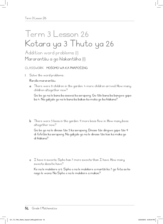## Term 3 Lesson 26 Kotara ya 3 Thuto ya 26

Addition word problems (1) Mararantšu a go hlakantšha (1)

CLASSWORK MOŠOMO WA KA PHAPOŠING

1 Solve the word problems .

#### Rarolla mararantšu.

a There were 8 children in the garden. 4 more children arrived. How many children altogether now?

Go be go na le bana ba seswai ka serapeng. Go tlile bana ba bangwe gape ba 4. Na gabjale go na le bana ba bakae ka moka ge ba hlakana?

b There were 5 bees in the garden. 9 more bees flew in. How many bees altogether now?

Go be go na le dinose tše 5 ka serapeng. Dinose tše dingwe gape tše 9 di fofetše ka serapeng. Na gabjale go na le dinose tše kae ka moka ge di hlakana?

c I have 6 sweets. Sipho has 7 more sweets than I have. How many sweets does he have?

Ke na le malekere a 6. Sipho o na le malekere a mantši ka 7 go feta ao ke nago le wona. Na Sipho o na le malekere a makae?

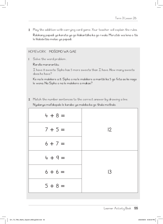2 Play the addition-with-carrying card game. Your teacher will explain the rules. Ralokang papadi ya karata ya go hlakantšha ka go rwala. Morutiši wa lena o tla le hlalošetša melao ya papadi.

#### HOMEWORK MOŠOMO WA GAE

1 Solve the word problem .

Rarolla mararantšu.

 $I$  have 8 sweets. Sipho has 5 more sweets than  $I$  have. How many sweets does he have?

Ke na le malekere a 8. Sipho o na le malekere a mantši ka 5 go feta ao ke nago le wona. Na Sipho o na le malekere a makae?

2 Match the number sentences to the correct answer by drawing a line.

Nyalanya mafokopalo le karabo ya maleba ka go thala mothalo.

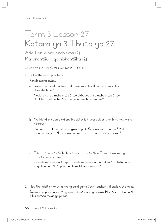## Term 3 Lesson 27 Kotara ya 3 Thuto ya 27

Addition word problems (2) Mararantšu a go hlakantšha (2)

CLASSWORK MOŠOMO WA KA PHAPOŠING

1 Solve the word problems .

#### Rarolla mararantšu.

a Nosisi has 5 red marbles and 8 blue marbles. How many marbles does she have?

Nosisi o na le dimabole tše 5 tše dikhubedu le dimabole tše 8 tše ditalaleratadima. Na Nosisi o na le dimabole tše kae?

b My friend is 6 years old and his sister is 9 years older than him. How old is his sister?

Mogwera wa ka o na le mengwaga ye 6. Sesi wa gagwe o mo feta ka mengwaga ye 9. Na sesi wa gagwe o na le mengwaga ye mekae?

c I have 7 sweets. Sipho has 5 more sweets than I have. How many sweets does he have?

Ke na le malekere a 7. Sipho o na le malekere a mantši ka 5 go feta ao ke nago le wona. Na Sipho o na le malekere a makae?

2 Play the addition-with-carrying card game. Your teacher will explain the rules. Ralokang papadi ya karata ya go hlakantšha ka go rwala. Morutiši wa lena o tla le hlalošetša melao ya papadi.

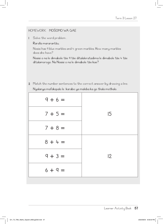#### HOMEWORK MOŠOMO WA GAE

1 Solve the word problem .

#### Rarolla mararantšu.

 Nosisi has 9 blue marbles and 4 green marbles. How many marbles does she have?

Nosisi o na le dimabole tše 9 tše ditalaleratadima le dimabole tše 4 tše ditalamorogo. Na Nosisi o na le dimabole tše kae?

2 Match the number sentences to the correct answer by drawing a line. Nyalanya mafokopalo le karabo ya maleba ka go thala mothalo.

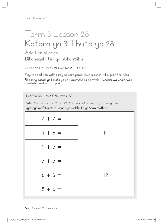## Term 3 Lesson 28 Kotara ya 3 Thuto ya 28

Addition stories Dikanegelo tša go hlakantšha

CLASSWORK MOŠOMO WA KA PHAPOŠING

Play the addition-with-carrying card game. Your teacher will explain the rules. Ralokang papadi ya karata ya go hlakantšha ka go rwala. Morutiši wa lena o tla le hlalošetša melao ya papadi.

HOMEWORK MOŠOMO WA GAE

Match the number sentences to the correct answer by drawing a line. Nyalanya mafokopalo le karabo ya maleba ka go thala mothalo.



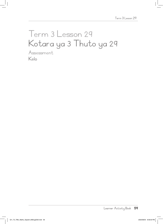## Term 3 Lesson 29 Kotara ya 3 Thuto ya 29

Assessment Kelo

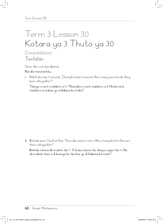### Term 3 Lesson 30 Kotara ya 3 Thuto ya 30

Consolidation Teefatšo

Solve the word problems.

#### Rarolla mararantšu,

1 Ndivhuho has 5 sweets. Ṱhompho has 8 sweets. How many sweets do they have altogether?

Tebogo o na le malekere a 5. Tlhompho o na le malekere a 8. Na ba na le malekere a makae ge a hlakana ka moka?

2 Belinda sees 7 butterflies. Then she sees 4 more. How many butterflies are there altogether?

Belinda o bona dirurubele tše 7. A buša a bona tše dingwe gape tše 4. Na dirurubele tšeo a di bonego ke tše kae ge di hlakana ka moka?

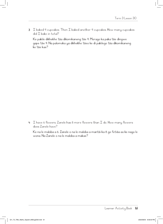3 I baked 9 cupcakes. Then I baked another 9 cupcakes. How many cupcakes  $did I$  bake in total?

Ke pakile dikhekhe tša dikomikaneng tše 9. Morago ka paka tše dingwe gape tše 9. Na palomoka ya dikhekhe tšeo ke di pakilego tša dikomikaneng ke tše kae?

4  $\;$   $\;$   $\;$   $\;$   $\;$  have 6 flowers. Zanele has 8 more flowers than  $\;$   $\;$  do. How many flowers does Zanele have?

Ke na le maloba a 6. Zanele o na le maloba a mantši ka 8 go fetiša ao ke nago le wona. Na Zanele o na le maloba a makae?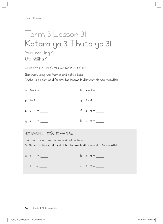### Term 3 Lesson 31 Kotara ya 3 Thuto ya 31 Subtracting 9 Go ntšha 9

CLASSWORK MOŠOMO WA KA PHAPOŠING

Subtract using ten frames and bottle tops.

Ntšha ka go šomiša diforeimi tša lesome le dikhurumelo tša mapotlelo.

| a $18 - 9 =$     | <b>b</b> $14 - 9 =$ |
|------------------|---------------------|
| <b>c</b> $  -9=$ | $d$ $17 - 9 =$      |
| e $ 3 - 9 $      | $f = 15 - 9 =$      |
| $9^{12-9}$       | $h$ $16 - 9 =$      |

#### HOMEWORK MOŠOMO WA GAE

Subtract using ten frames and bottle tops.

Ntšha ka go šomiša diforeimi tša lesome le dikhurumelo tša mapotlelo.

**a**  $15 - 9 =$  **b**  $18 - 9 =$ c  $II - 9 =$  d  $13 - 9 =$ 

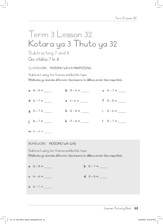#### Term 3 Lesson 32 Kotara ya 3 Thuto ya 32 Subtracting 7 and 8 Go ntšha 7 le 8

CLASSWORK MOŠOMO WA KA PHAPOŠING

Subtract using ten frames and bottle tops. Ntšha ka go šomiša diforeimi tša lesome le dikhurumelo tša mapotlelo.

| a $16 - 8 =$ | <b>b</b> $15 - 6 =$ | c $14 - 7 =$       |
|--------------|---------------------|--------------------|
| $12 - 7 =$   | $e$ $   - 6 =$      | $f \quad 13 - 8 =$ |
| $g 15 - 7 =$ | <b>h</b> $12 - 8 =$ | $13 - 6 =$         |
|              |                     | $1 \t15 - 7 =$     |
|              |                     |                    |

#### HOMEWORK MOŠOMO WA GAE

m  $14 - 6 =$ 

Subtract using ten frames and bottle tops.

Ntšha ka go šomiša diforeimi tša lesome le dikhurumelo tša mapotlelo.

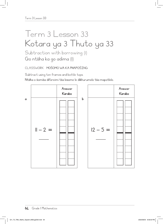### Term 3 Lesson 33 Kotara ya 3 Thuto ya 33 Subtraction with borrowing (1) Go ntšha ka go adima (1)

CLASSWORK MOŠOMO WA KA PHAPOŠING

Subtract using ten frames and bottle tops.

Ntšha o šomiša diforeimi tša lesome le dikhurumelo tša mapotlelo.



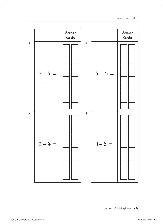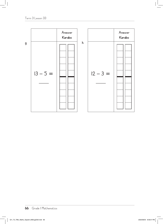

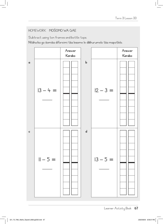#### HOMEWORK MOŠOMO WA GAE

Subtract using ten frames and bottle tops.

Ntšha ka go šomiša diforeimi tša lesome le dikhurumelo tša mapotlelo.

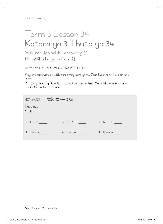# Term 3 Lesson 34 Kotara ya 3 Thuto ya 34

Subtraction with borrowing (2) Go ntšha ka go adima (2)

CLASSWORK MOŠOMO WA KA PHAPOŠING

Play the subtraction-with-borrowing card game. Your teacher will explain the rules.

Ralokang papadi ya karata ya go ntšha ka go adima. Morutiši wa lena o tla le hlalošetša melao ya papadi.

| HOMEWORK MOŠOMO WA GAE |                     |                |
|------------------------|---------------------|----------------|
| Subtract:<br>Ntšha:    |                     |                |
| $a$ $   - 6 =$         | <b>b</b> $14 - 5 =$ | c $12 - 6 =$   |
| $d$ $17 - 9 =$         | $e$ $13 - 8 =$      | $f = 15 - 7 =$ |

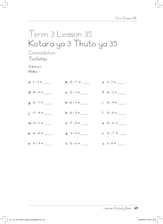# Term 3 Lesson 35 Kotara ya 3 Thuto ya 35

Consolidation

Teefatšo

Subtract:

Ntšha:

| a $II - 2 =$            |                     | c $  -7 =$         |
|-------------------------|---------------------|--------------------|
|                         | e $13 - 7 =$        | $f$ $12 - 3 =$     |
|                         | <b>h</b> $16 - 7 =$ | $16 - 9 =$         |
| $17 - 9 =$              |                     | $1 \t 3 - 8 = \_$  |
|                         |                     | $0 15 - 6 =$       |
| $p \quad 16 - 8 = \_\_$ |                     | $r$ $14 - 7 =$     |
|                         | $t$ $12-6=$         | $u \parallel -8 =$ |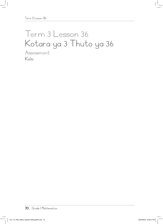## Term 3 Lesson 36 Kotara ya 3 Thuto ya 36

Assessment Kelo

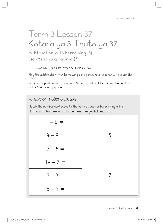# Term 3 Lesson 37 Kotara ya 3 Thuto ya 37

Subtraction with borrowing (3) Go ntšha ka go adima (3)

CLASSWORK MOŠOMO WA KA PHAPOŠING

Play the subtraction-with-borrowing card game. Your teacher will explain the rules.

Ralokang papadi ya karata ya go ntšha ka go adima. Morutiši wa lena o tla le hlalošetša melao ya papadi.

HOMEWORK MOŠOMO WA GAE

Match the number sentences to the correct answer by drawing a line.

Nyalanya mafokopalo le karabo ya maleba ka go thala mothalo.

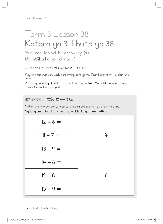# Term 3 Lesson 38 Kotara ya 3 Thuto ya 38

Subtraction with borrowing (4) Go ntšha ka go adima (4)

CLASSWORK MOŠOMO WA KA PHAPOŠING

Play the subtraction-with-borrowing card game. Your teacher will explain the rules.

Ralokang papadi ya karata ya go ntšha ka go adima. Morutiši wa lena o tla le hlalošetša melao ya papadi.

#### HOMEWORK MOŠOMO WA GAE

Match the number sentences to the correct answer by drawing a line.

Nyalanya mafokopalo le karabo ya maleba ka go thala mothalo.

$$
12 - 6 =
$$
\n
$$
11 - 7 =
$$
\n
$$
13 - 9 =
$$
\n
$$
14 - 8 =
$$
\n
$$
12 - 8 =
$$
\n
$$
15 - 9 =
$$
\n
$$
14 - 8 =
$$
\n
$$
15 - 9 =
$$
\n
$$
16 - 12 =
$$
\n
$$
17 - 9 =
$$
\n
$$
18 - 9 =
$$
\n
$$
19 - 9 =
$$
\n
$$
10 - 12 =
$$
\n
$$
11 - 12 =
$$
\n
$$
12 - 8 =
$$
\n
$$
13 - 9 =
$$
\n
$$
14 - 8 =
$$
\n
$$
15 - 9 =
$$

#### 72 Grade | Mathematics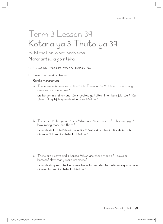# Term 3 Lesson 39 Kotara ya 3 Thuto ya 39

Subtraction word problems Mararantšu a go ntšha

CLASSWORK MOŠOMO WA KA PHAPOŠING

1 Solve the word problems .

Rarolla mararantšu.

a There were 16 oranges on the table. Themba ate 9 of them. How many oranges are there now?

Go be go na le dinamune tše 16 godimo ga tafola. Themba o jele tše 9 tša tšona. Na gabjale go na le dinamune tše kae?

b There are 15 sheep and 7 pigs. Which are there more of – sheep or pigs? How many more are there?

Go na le dinku tše 15 le dikolobe tše 7. Na ke dife tše dintši – dinku goba dikolobe? Na ke tše dintši ka tše kae?

c There are 11 cows and 4 horses. Which are there more of – cows or horsess? How many more are there?

Go na le dikgomo tše 11 le dipere tše 4. Na ke dife tše dintši – dikgomo goba dipere? Na ke tše dintši ka tše kae?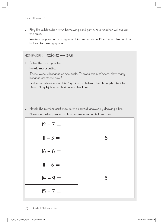2 Play the subtraction-with-borrowing card game. Your teacher will explain the rules.

Ralokang papadi ya karata ya go ntšha ka go adima. Morutiši wa lena o tla le hlalošetša melao ya papadi.

#### HOMEWORK MOŠOMO WA GAE

1 Solve the word problem .

Rarolla mararantšu.

 There were 13 bananas on the table. Themba ate 6 of them. How many bananas are there now?

Go be go na le dipanana tše 13 godimo ga tafola. Themba o jele tše 9 tša tšona. Na gabjale go na le dipanana tše kae?

2 Match the number sentence to the correct answer by drawing a line. Nyalanya mafokopalo le karabo ya maleba ka go thala mothalo.



74 Grade 1 Mathematics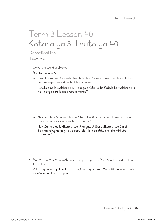### Term 3 Lesson 40 Kotara ya 3 Thuto ya 40

#### Consolidation Teefatšo

1 Solve the word problems.

#### Rarolla mararantu.

a Nzumbululo has 17 sweets. Ndivhuho has 8 sweets less than Nzumbululo. How many sweets does Ndivhuho have?

Kutullo o na le malekere a 17. Tebogo o fetišwa ke Kutullo ka malekere a 8. Na Tebogo o na le malekere a makae?

b Ms Zama has 15 cups at home. She takes 8 cups to her classroom. How many cups does she have left at home?

Moh. Zama o na le dikomiki tše 15 ka gae. O tšere dikomiki tše 8 a di iša phapošing ya gagwe ya borutelo. Na o šaletšwe ke dikomiki tše kae ka gae?

2 Play the subtraction-with-borrowing card games. Your teacher will explain the rules.

Ralokang papadi ya karata ya go ntšha ka go adima. Morutiši wa lena o tla le hlalošetša melao ya papadi.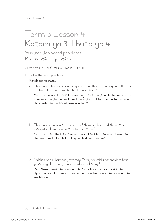# Term 3 Lesson 41 Kotara ya 3 Thuto ya 41

#### Subtraction word problems Mararantšu a go ntšha

#### CLASSWORK MOŠOMO WA KA PHAPOŠING

Solve the word problems .

#### Rarolla mararantšu.

a There are 13 butterflies in the garden. 8 of them are orange and the rest are blue. How many blue butterflies are there?

Go na le dirurubele tše 13 ka serapeng. Tše 8 tša tšona ke tša mmala wa namune mola tše dingwe ka moka e le tše ditalaleratadima. Na go na le dirurubele tše kae tše ditalaleratadima?

b There are 17 bugs in the garden. 9 of them are bees and the rest are caterpillars. How many caterpillars are there?

Go na le ditšhitšhidi tše 17 ka serapeng. Tše 9 tša tšona ke dinose, tše dingwe ka moka ke diboko. Na go na le diboko tše kae?

c Ms Nkosi sold 12 bananas yesterday. Today she sold 5 bananas less than yesterday. How many bananas did she sell today?

Moh. Nkosi o rekišitše dipanana tše 12 maabane. Lehono o rekišitše dipanana tše 5 ka tlase ga palo ya maabane. Na o rekišitše dipanana tše kae lehono?

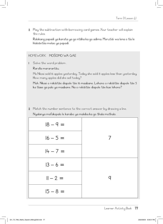2 Play the subtraction-with-borrowing card games. Your teacher will explain the rules.

Ralokang papadi ya karata ya go ntšha ka go adima. Morutiši wa lena o tla le hlalošetša melao ya papadi.

#### HOMEWORK MOŠOMO WA GAE

1 Solve the word problem .

#### Rarolla mararantšu.

 Ms Nkosi sold 16 apples yesterday. Today she sold 8 apples less than yesterday. How many apples did she sell today?

Moh. Nkosi o rekišitše diapole tše 16 maabane. Lehono o rekišitše diapole tše 5 ka tlase ga palo ya maabane. Na o rekišitše diapole tše kae lehono?

2 Match the number sentence to the correct answer by drawing a line. Nyalanya mafokopalo le karabo ya maleba ka go thala mothalo.

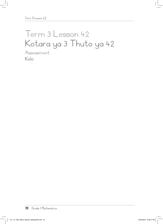# Term 3 Lesson 42 Kotara ya 3 Thuto ya 42

Assessment Kelo

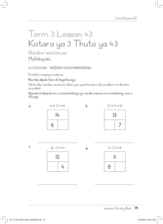# Term 3 Lesson 43 Kotara ya 3 Thuto ya 43

Number sentences Mafokopalo

CLASSWORK MOŠOMO WA KA PHAPOŠING

Find the missing numbers.

Hwetša dipalo tšeo di tlogetšwego.

Write the number sentence that you used to solve the problem on the line provided.

Ngwala lefokopalo leo o le šomišitšego go rarolla marara mo mothalong woo o filwego.







\_\_\_\_\_\_\_\_\_\_\_\_\_\_\_

\_\_\_\_\_\_\_\_\_\_\_\_\_\_\_

 $\frac{1}{2}$  ,  $\frac{1}{2}$  ,  $\frac{1}{2}$  ,  $\frac{1}{2}$  ,  $\frac{1}{2}$  ,  $\frac{1}{2}$  ,  $\frac{1}{2}$  ,  $\frac{1}{2}$  ,  $\frac{1}{2}$  ,  $\frac{1}{2}$  ,  $\frac{1}{2}$  ,  $\frac{1}{2}$  ,  $\frac{1}{2}$  ,  $\frac{1}{2}$  ,  $\frac{1}{2}$  ,  $\frac{1}{2}$  ,  $\frac{1}{2}$  ,  $\frac{1}{2}$  ,  $\frac{1$ 



 $\frac{1}{2}$  ,  $\frac{1}{2}$  ,  $\frac{1}{2}$  ,  $\frac{1}{2}$  ,  $\frac{1}{2}$  ,  $\frac{1}{2}$  ,  $\frac{1}{2}$  ,  $\frac{1}{2}$  ,  $\frac{1}{2}$  ,  $\frac{1}{2}$  ,  $\frac{1}{2}$  ,  $\frac{1}{2}$  ,  $\frac{1}{2}$  ,  $\frac{1}{2}$  ,  $\frac{1}{2}$  ,  $\frac{1}{2}$  ,  $\frac{1}{2}$  ,  $\frac{1}{2}$  ,  $\frac{1$ 

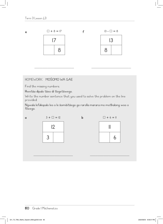

 $\frac{1}{2}$  ,  $\frac{1}{2}$  ,  $\frac{1}{2}$  ,  $\frac{1}{2}$  ,  $\frac{1}{2}$  ,  $\frac{1}{2}$  ,  $\frac{1}{2}$  ,  $\frac{1}{2}$  ,  $\frac{1}{2}$  ,  $\frac{1}{2}$  ,  $\frac{1}{2}$  ,  $\frac{1}{2}$  ,  $\frac{1}{2}$  ,  $\frac{1}{2}$  ,  $\frac{1}{2}$  ,  $\frac{1}{2}$  ,  $\frac{1}{2}$  ,  $\frac{1}{2}$  ,  $\frac{1$ 







\_\_\_\_\_\_\_\_\_\_\_\_\_\_\_

#### HOMEWORK MOŠOMO WA GAE

Find the missing numbers.

Hwetša dipalo tšeo di tlogetšwego.

Write the number sentence that you used to solve the problem on the line provided.

Ngwala lefokopalo leo o le šomišitšego go rarolla marara mo mothalong woo o filwego.



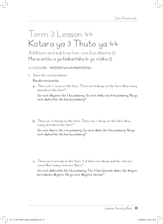# Term 3 Lesson 44 Kotara ya 3 Thuto ya 44

Addition and subtraction word problems (1) Mararantšu a go hlakantšha le go ntšha (1)

CLASSWORK MOŠOMO WA KA PHAPOŠING

1 Solve the word problems .

Rarolla mararantšu.

a There are 7 cows on the farm. There are 8 sheep on the farm. How many animals on the farm?

Go na le dikgomo tše 7 ka polaseng. Go na le dinku tše 8 ka polaseng. Na go na le diphoofolo tše kae ka polaseng?

b There are 4 horses on the farm. There are 7 sheep on the farm. How many animals on the farm?

Go na le dipere tše 4 ka polaseng. Go na le dinku tše 8 ka polaseng. Na go na le diphoofolo tše kae ka polaseng?

c There are 11 animals on the farm. 9 of them are sheep and the rest are cows. How many cows are there?

Go na le diphoofolo tše 11 ka polaseng. Tše 9 tša tšona ke dinku, tše dingwe ka moka ke dikgomo. Na go na le dikgomo tše kae?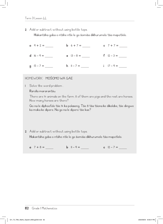2 Add or subtract without using bottle tops.

Hlakantšha goba o ntšhe ntle le go šomiša dikhurumelo tša mapotlelo.

| $q + 2 =$        | <b>b</b> $6 + 7 =$  | c $7 + 7 =$    |
|------------------|---------------------|----------------|
| $d \mid 6 - 9 =$ | e $ 3 - 8 =$        | $f = 12 - 3 =$ |
| q $15 - 7 =$     | $h \quad  I - 7  =$ | $17 - 9 =$     |

#### HOMEWORK MOŠOMO WA GAE

1 Solve the word problem .

#### Rarolla mararantšu.

 There are 14 animals on the farm. 8 of them are pigs and the rest are horses. How many horses are there?

Go na le diphoofolo tše 14 ka polaseng. Tše 8 tša tšona ke dikolobe, tše dingwe ka moka ke dipere. Na go na le dipere tše kae?

2 Add or subtract without using bottle tops.

Hlakantšha goba o ntšhe ntle le go šomiša dikhurumelo tša mapotlelo.

**a**  $7 + 8 =$  **b**  $1 - 9 =$  **c**  $12 - 7 =$ 

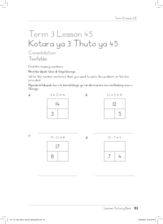# Term 3 Lesson 45 Kotara ya 3 Thuto ya 45

### Consolidation

Teefatšo

Find the missing numbers.

Hwetša dipalo tšeo di tlogetšwego.

Write the number sentence that you used to solve the problem on the line provided.

Ngwala lefokopalo leo o le šomišitšego go rarolla marara mo mothalong woo o filwego.





 $\frac{1}{2}$  ,  $\frac{1}{2}$  ,  $\frac{1}{2}$  ,  $\frac{1}{2}$  ,  $\frac{1}{2}$  ,  $\frac{1}{2}$  ,  $\frac{1}{2}$  ,  $\frac{1}{2}$  ,  $\frac{1}{2}$  ,  $\frac{1}{2}$  ,  $\frac{1}{2}$  ,  $\frac{1}{2}$  ,  $\frac{1}{2}$  ,  $\frac{1}{2}$  ,  $\frac{1}{2}$  ,  $\frac{1}{2}$  ,  $\frac{1}{2}$  ,  $\frac{1}{2}$  ,  $\frac{1$ 



 $\frac{1}{2}$  ,  $\frac{1}{2}$  ,  $\frac{1}{2}$  ,  $\frac{1}{2}$  ,  $\frac{1}{2}$  ,  $\frac{1}{2}$  ,  $\frac{1}{2}$  ,  $\frac{1}{2}$  ,  $\frac{1}{2}$  ,  $\frac{1}{2}$  ,  $\frac{1}{2}$  ,  $\frac{1}{2}$ 

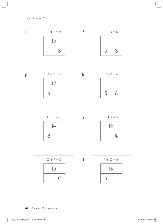

 $\frac{1}{2}$  ,  $\frac{1}{2}$  ,  $\frac{1}{2}$  ,  $\frac{1}{2}$  ,  $\frac{1}{2}$  ,  $\frac{1}{2}$  ,  $\frac{1}{2}$  ,  $\frac{1}{2}$  ,  $\frac{1}{2}$  ,  $\frac{1}{2}$  ,  $\frac{1}{2}$  ,  $\frac{1}{2}$ 

 $\frac{1}{2}$  ,  $\frac{1}{2}$  ,  $\frac{1}{2}$  ,  $\frac{1}{2}$  ,  $\frac{1}{2}$  ,  $\frac{1}{2}$  ,  $\frac{1}{2}$  ,  $\frac{1}{2}$  ,  $\frac{1}{2}$  ,  $\frac{1}{2}$  ,  $\frac{1}{2}$  ,  $\frac{1}{2}$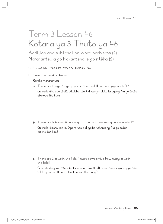# Term 3 Lesson 46 Kotara ya 3 Thuto ya 46

Addition and subtraction word problems (2) Mararantšu a go hlakantšha le go ntšha (2)

CLASSWORK MOŠOMO WA KA PHAPOŠING

1 Solve the word problems .

Rarolla mararantšu.

a There are 16 pigs. 7 pigs go play in the mud. How many pigs are left? Go na le dikolobe tše16. Dikolobe tše 7 di ya go raloka lerageng. Na go šetše dikolobe tše kae?

**b** There are 14 horses. 8 horses go to the field. How many horses are left? Go na le dipere tše 14. Dipere tše 8 di ya ka tšhemong. Na go šetše dipere tše kae?

c There are 2 cows in the field. 9 more cows arrive. How many cows in the field?

Go na le dikgomo tše 2 ka tšhemong. Go tla dikgomo tše dingwe gape tše 9. Na go na le dikgomo tše kae ka tšhemong?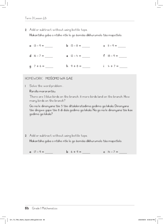2 Add or subtract without using bottle tops.

Hlakantšha goba o ntšhe ntle le go šomiša dikhurumelo tša mapotlelo.

| <b>a</b> $ 3 - 9 $ = | <b>b</b> $15 - 8 =$ | c $II - 9 =$      |
|----------------------|---------------------|-------------------|
| $d \t16 - 7 =$       | e $12 - 4 =$        | $f \mid 18 - 9 =$ |
| $q$ 7 + 6 =          | $h \quad 9 + 8 =$   | $i + 7 =$         |

#### HOMEWORK MOŠOMO WA GAE

1 Solve the word problem .

#### Rarolla mararantšu.

 There are 5 blue birds on the branch. 8 more birds land on the branch. How many birds on the branch?

Go na le dinonyana tše 5 tše ditalaleratadima godimo ga lekala. Dinonyana tše dingwe gape tše 8 di dula godimo ga lekala. Na go na le dinonyana tše kae godimo ga lekala?

2 Add or subtract without using bottle tops.

Hlakantšha goba o ntšhe ntle le go šomiša dikhurumelo tša mapotlelo.

**a**  $|7 - 9 =$  **b**  $6 + 9 =$  **c**  $|4 - 7 =$ 

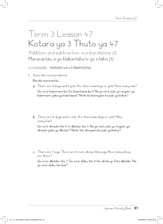# Term 3 Lesson 47 Kotara ya 3 Thuto ya 47

Addition and subtraction word problems (3) Mararantšu a go hlakantšha le go ntšha (3)

CLASSWORK MOŠOMO WA KA PHAPOŠING

1 Solve the word problems .

Rarolla mararantšu.

- a There are 13 boys and 9 girls. Are there less boys or girls? How many less? Go na le bašemane ba 13 le basetsana ba 9. Na go na le palo ye nnyane ya bašemane goba ya basetsana? Na ke ba bannyane ka palo ya bokae?
- b There are 14 dogs and 5 cats. Are there less dogs or cats? How many less?

Go na le dimpša tše 14 le dikatse tše 5. Na go na le palo ye nnyane ya dimpša goba ya dikatse? Na ke tše dinnyane ka palo ya bokae?

c There are 7 pigs. There are 8 more sheep than pigs. How many sheep are there?

Go na le dikolobe tše 7. Go na le dinku tše 8 tše dintši go feta dikolobe. Na go na le dinku tše kae?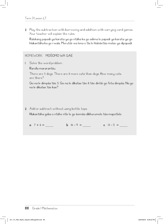2 Play the subtraction-with-borrowing and addition-with-carrying card games. Your teacher will explain the rules.

Ralokang papadi ya karata ya go ntšha ka go adima le papadi ya karata ya go hlakantšha ka go rwala. Morutiši wa lena o tla le hlalošetša melao ya dipapadi.

HOMEWORK MOŠOMO WA GAE

1 Solve the word problem .

Rarolla mararantšu.

 There are 5 dogs. There are 8 more cats than dogs. How many cats are there?

Go na le dimpša tše 5. Go na le dikatse tše 8 tše dintši go feta dimpša. Na go na le dikatse tše kae?

2 Add or subtract without using bottle tops.

Hlakantšha goba o ntšhe ntle le go šomiša dikhurumelo tša mapotlelo

**a**  $7 + 6 =$  **b**  $16 - 9 =$  **c**  $13 - 5 =$ 

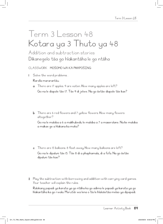# Term 3 Lesson 48 Kotara ya 3 Thuto ya 48

Addition and subtraction stories Dikanegelo tša go hlakantšha le go ntšha

CLASSWORK MOŠOMO WA KA PHAPOŠING

Solve the word problems .

Rarolla mararantšu.

- a There are 17 apples. 9 are eaten. How many apples are left? Go na le diapole tše 17. Tše 9 di jelwe. Na go šetše diapole tše kae?
- b There are 6 red flowers and 7 yellow flowers. How many flowers altogether?

Go na le maloba a 6 a makhubedu le maloba a 7 a maserolane. Na ke maloba a makae ge a hlakana ka moka?

- c There are 15 balloons. 8 float away. How many balloons are left? Go na le dipaluni tše 15. Tše 8 di a phaphamala, di a fofa. Na go šetše dipaluni tše kae?
- 2 Play the subtraction-with-borrowing and addition-with-carrying card games. Your teacher will explain the rules.

Ralokang papadi ya karata ya go ntšha ka go adima le papadi ya karata ya go hlakantšha ka go rwala. Morutiši wa lena o tla le hlalošetša melao ya dipapadi.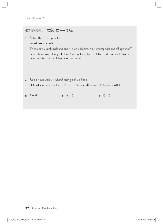|                | HOMEWORK MOŠOMO WA GAE                                                                                                     |
|----------------|----------------------------------------------------------------------------------------------------------------------------|
|                | Solve the word problem.                                                                                                    |
|                | Rarolla mararantšu.                                                                                                        |
|                | There are 7 pink balloons and 4 blue balloons. How many balloons altogether?                                               |
|                | Go na le dipaluni tše pinki tše 7 le dipaluni tše ditalaleratadima tše 4. Na ke<br>dipaluni tše kae qe di hlakana ka moka? |
|                |                                                                                                                            |
|                |                                                                                                                            |
| 2 <sup>1</sup> | Add or subtract without using bottle tops.                                                                                 |
|                | Hlakantšha goba o ntšhe ntle le go šomiša dikhurumelo tša mapotlelo                                                        |
|                |                                                                                                                            |
|                | $b$ $16 - 8 =$<br>$q$ 7 + 9 =<br>c $12 - 6 =$                                                                              |
|                |                                                                                                                            |
|                |                                                                                                                            |

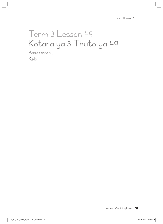# Term 3 Lesson 49 Kotara ya 3 Thuto ya 49

Assessment Kelo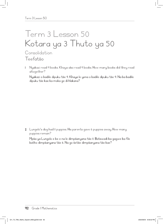# Term 3 Lesson 50 Kotara ya 3 Thuto ya 50

Consolidation Teefatšo

1 Nyakazi read 9 books. Khaya also read 9 books. How many books did they read altogether?

Nyakazi o badile dipuku tše 9. Khaya le yena o badile dipuku tše 9. Na ba badile dipuku tše kae ka moka ge di hlakana?

2 Lungelo's dog had 11 puppies. His parents gave 6 puppies away. How many puppies remain?

Mpša ya Lungelo e be e na le dimpšanyana tše 11. Batswadi ba gagwe ba file batho dimpšanyana tše 6. Na go šetše dimpšanyana tše kae?

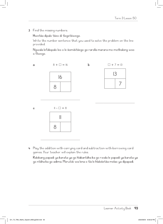3 Find the missing numbers.

#### Hwetša dipalo tšeo di tlogetšwego.

Write the number sentence that you used to solve the problem on the line provided.

Ngwala lefokopalo leo o le šomišitšego go rarolla marara mo mothalong woo o filwego.





\_\_\_\_\_\_\_\_\_\_\_\_\_\_\_

4 Play the addition-with-carrying card and subtraction-with-borrowing card games. Your teacher will explain the rules.

Ralokang papadi ya karata ya go hlakantšha ka go rwala le papadi ya karata ya go ntšha ka go adima. Morutiši wa lena o tla le hlalošetša melao ya dipapadi.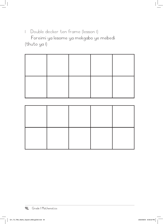1 Double decker ten frame (lesson 1) Foreimi ya lesome ya mekgabo ye mebedi (thuto ya 1)

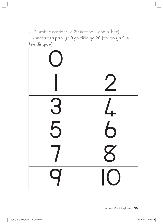2 Number cards 0 to 20 (lesson 2 and other) Dikarata tša palo ya 0 go fihla go 20 (thuto ya 2 le tše dingwe)

|   | $\overline{\phantom{a}}$ |
|---|--------------------------|
| 3 |                          |
| 5 | 6                        |
|   |                          |
| 9 | $\overline{\text{1O}}$   |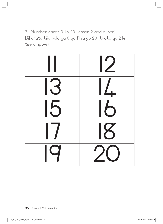3 Number cards 0 to 20 (lesson 2 and other) Dikarata tša palo ya 0 go fihla go 20 (thuto ya 2 le tše dingwe)

| Н  | 12 |
|----|----|
| 13 | L  |
| 15 | 16 |
| 17 | 18 |
| 19 | 70 |

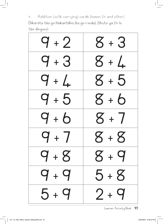4 Addition (with carrying) cards (lesson 24 and other) Dikarata tša go hlakantšha (ka go rwala) (thuto ya 24 le tše dingwe)

| $9 + 2$ | $8 + 3$ |
|---------|---------|
| $9 + 3$ | $8 + 4$ |
| $9 + 4$ | $8+5$   |
| $9 + 5$ | $8 + b$ |
| $9 + b$ | $8 + 7$ |
| $9 + 7$ | $8+8$   |
| $9 + 8$ | $8 + 9$ |
| $9 + 9$ | $5 + 8$ |
| 5 + 9   | 2 + 9   |

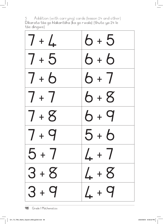5 Addition (with carrying) cards (lesson 24 and other) Dikarata tša go hlakantšha (ka go rwala) (thuto ya 24 le tše dingwe)

| $7 + 4$ | $6 + 5$                     |
|---------|-----------------------------|
| $7 + 5$ | $6 + 6$                     |
| $7 + b$ | $6 + 7$                     |
| $7 + 7$ | $b + 8$                     |
| $7 + 8$ | $6 + 9$                     |
| $7 + 9$ | $5 + b$                     |
| $5 + 7$ | $\mathsf{L}$ + $\mathsf{T}$ |
| $3 + 8$ | $4 + 8$                     |
| $3 + 9$ | 4 + 9                       |



98 Grade 1 Mathematics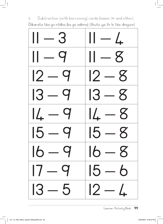

6 Subtraction (with borrowing) cards (lesson 34 and other) Dikarata tša go ntšha (ka go adima) (thuto ya 34 le tše dingwe)